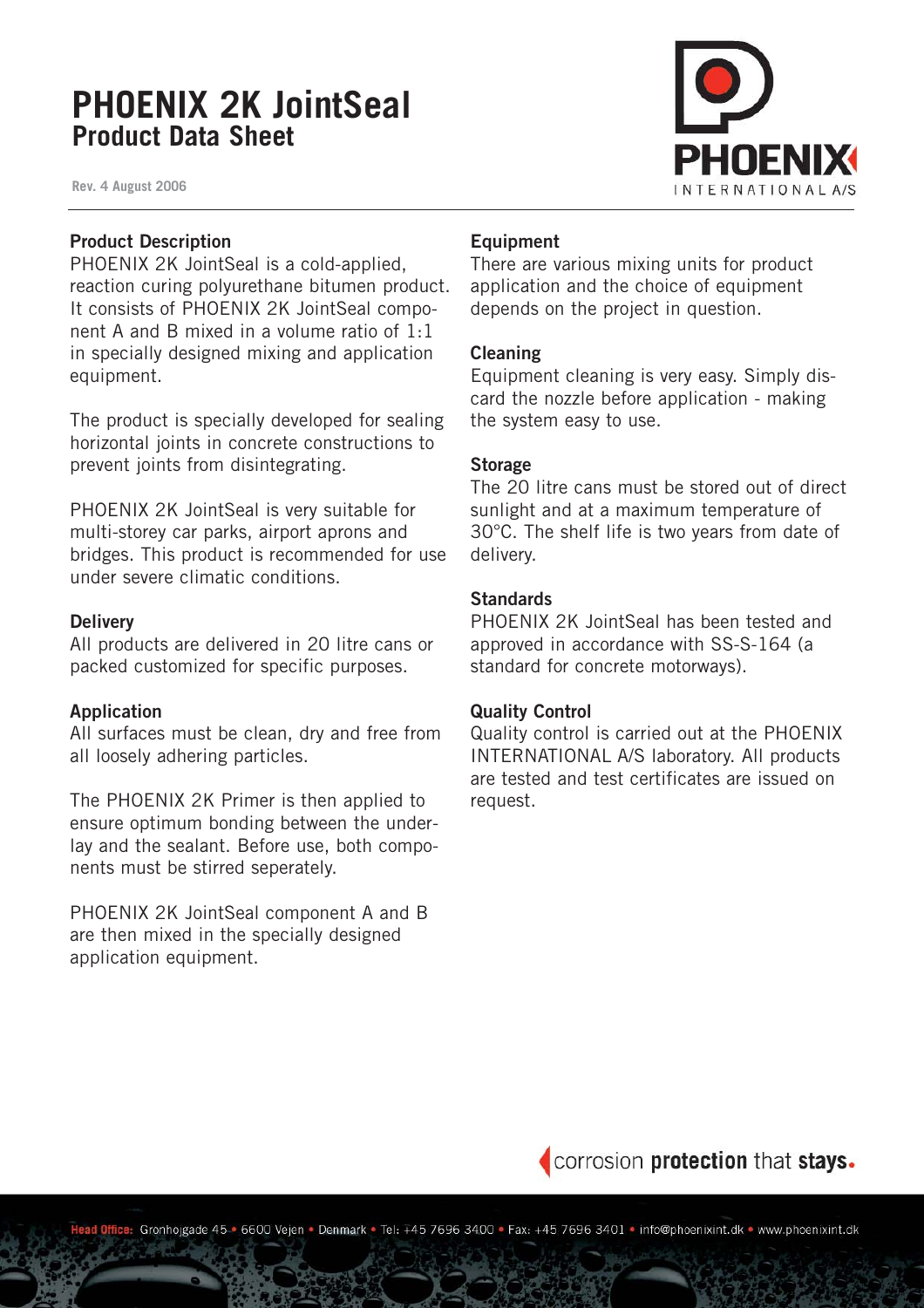# **PHOENIX 2K JointSeal Product Data Sheet**

**Rev. 4 August 2006**



# **Product Description**

PHOENIX 2K JointSeal is a cold-applied, reaction curing polyurethane bitumen product. It consists of PHOENIX 2K JointSeal component A and B mixed in a volume ratio of 1:1 in specially designed mixing and application equipment.

The product is specially developed for sealing horizontal joints in concrete constructions to prevent joints from disintegrating.

PHOENIX 2K JointSeal is very suitable for multi-storey car parks, airport aprons and bridges. This product is recommended for use under severe climatic conditions.

# **Delivery**

All products are delivered in 20 litre cans or packed customized for specific purposes.

# **Application**

All surfaces must be clean, dry and free from all loosely adhering particles.

The PHOENIX 2K Primer is then applied to ensure optimum bonding between the underlay and the sealant. Before use, both components must be stirred seperately.

PHOENIX 2K JointSeal component A and B are then mixed in the specially designed application equipment.

# **Equipment**

There are various mixing units for product application and the choice of equipment depends on the project in question.

#### **Cleaning**

Equipment cleaning is very easy. Simply discard the nozzle before application - making the system easy to use.

# **Storage**

The 20 litre cans must be stored out of direct sunlight and at a maximum temperature of 30°C. The shelf life is two years from date of delivery.

# **Standards**

PHOENIX 2K JointSeal has been tested and approved in accordance with SS-S-164 (a standard for concrete motorways).

# **Quality Control**

Quality control is carried out at the PHOENIX INTERNATIONAL A/S laboratory. All products are tested and test certificates are issued on request.



Office: Gronhojgade 45-6600 Vejen · Denmark · Tel: +45 7696 3400 · Fax: +45 7696 3401 · info@phoenixint.dk · www.phoenixint.dk